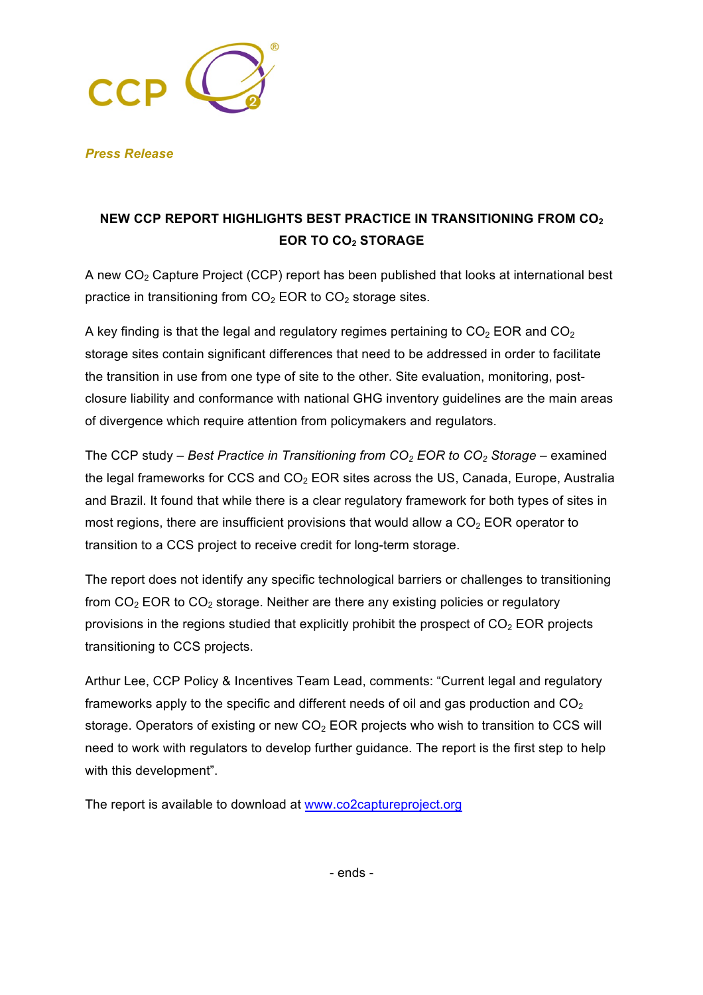

*Press Release*

## **NEW CCP REPORT HIGHLIGHTS BEST PRACTICE IN TRANSITIONING FROM CO2 EOR TO CO2 STORAGE**

A new  $CO<sub>2</sub>$  Capture Project (CCP) report has been published that looks at international best practice in transitioning from  $CO<sub>2</sub>$  EOR to  $CO<sub>2</sub>$  storage sites.

A key finding is that the legal and regulatory regimes pertaining to  $CO<sub>2</sub>$  EOR and  $CO<sub>2</sub>$ storage sites contain significant differences that need to be addressed in order to facilitate the transition in use from one type of site to the other. Site evaluation, monitoring, postclosure liability and conformance with national GHG inventory guidelines are the main areas of divergence which require attention from policymakers and regulators.

The CCP study – *Best Practice in Transitioning from CO2 EOR to CO2 Storage* – examined the legal frameworks for CCS and  $CO<sub>2</sub>$  EOR sites across the US, Canada, Europe, Australia and Brazil. It found that while there is a clear regulatory framework for both types of sites in most regions, there are insufficient provisions that would allow a  $CO<sub>2</sub>$  EOR operator to transition to a CCS project to receive credit for long-term storage.

The report does not identify any specific technological barriers or challenges to transitioning from  $CO<sub>2</sub>$  EOR to  $CO<sub>2</sub>$  storage. Neither are there any existing policies or regulatory provisions in the regions studied that explicitly prohibit the prospect of  $CO<sub>2</sub> EOR$  projects transitioning to CCS projects.

Arthur Lee, CCP Policy & Incentives Team Lead, comments: "Current legal and regulatory frameworks apply to the specific and different needs of oil and gas production and  $CO<sub>2</sub>$ storage. Operators of existing or new  $CO<sub>2</sub>$  EOR projects who wish to transition to CCS will need to work with regulators to develop further guidance. The report is the first step to help with this development".

The report is available to download at www.co2captureproject.org